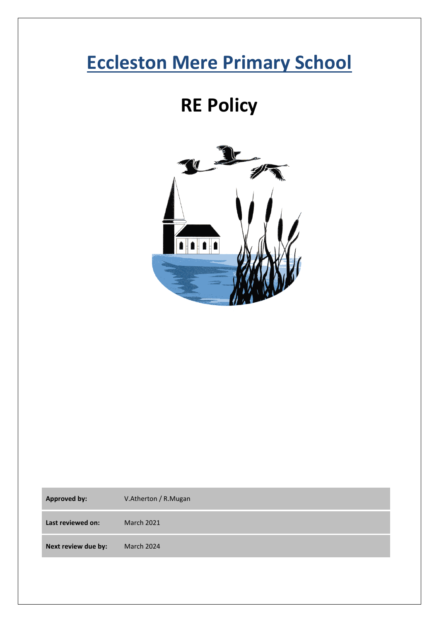# **Eccleston Mere Primary School**

## **RE Policy**



| <b>Approved by:</b> | V.Atherton / R.Mugan |
|---------------------|----------------------|
| Last reviewed on:   | <b>March 2021</b>    |
| Next review due by: | March 2024           |
|                     |                      |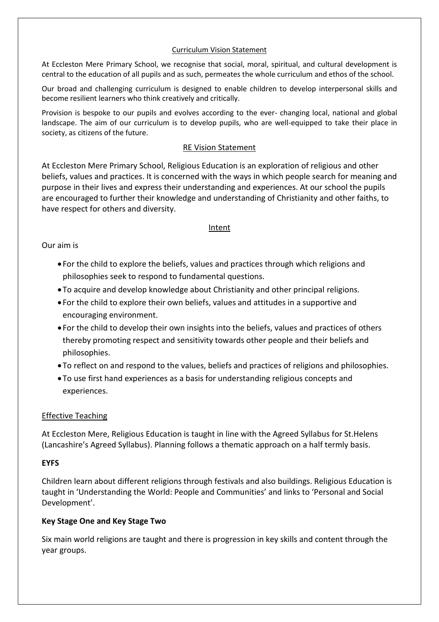#### Curriculum Vision Statement

At Eccleston Mere Primary School, we recognise that social, moral, spiritual, and cultural development is central to the education of all pupils and as such, permeates the whole curriculum and ethos of the school.

Our broad and challenging curriculum is designed to enable children to develop interpersonal skills and become resilient learners who think creatively and critically.

Provision is bespoke to our pupils and evolves according to the ever- changing local, national and global landscape. The aim of our curriculum is to develop pupils, who are well-equipped to take their place in society, as citizens of the future.

#### RE Vision Statement

At Eccleston Mere Primary School, Religious Education is an exploration of religious and other beliefs, values and practices. It is concerned with the ways in which people search for meaning and purpose in their lives and express their understanding and experiences. At our school the pupils are encouraged to further their knowledge and understanding of Christianity and other faiths, to have respect for others and diversity.

#### Intent

#### Our aim is

- For the child to explore the beliefs, values and practices through which religions and philosophies seek to respond to fundamental questions.
- •To acquire and develop knowledge about Christianity and other principal religions.
- For the child to explore their own beliefs, values and attitudes in a supportive and encouraging environment.
- For the child to develop their own insights into the beliefs, values and practices of others thereby promoting respect and sensitivity towards other people and their beliefs and philosophies.
- •To reflect on and respond to the values, beliefs and practices of religions and philosophies.
- •To use first hand experiences as a basis for understanding religious concepts and experiences.

#### Effective Teaching

At Eccleston Mere, Religious Education is taught in line with the Agreed Syllabus for St.Helens (Lancashire's Agreed Syllabus). Planning follows a thematic approach on a half termly basis.

#### **EYFS**

Children learn about different religions through festivals and also buildings. Religious Education is taught in 'Understanding the World: People and Communities' and links to 'Personal and Social Development'.

## **Key Stage One and Key Stage Two**

Six main world religions are taught and there is progression in key skills and content through the year groups.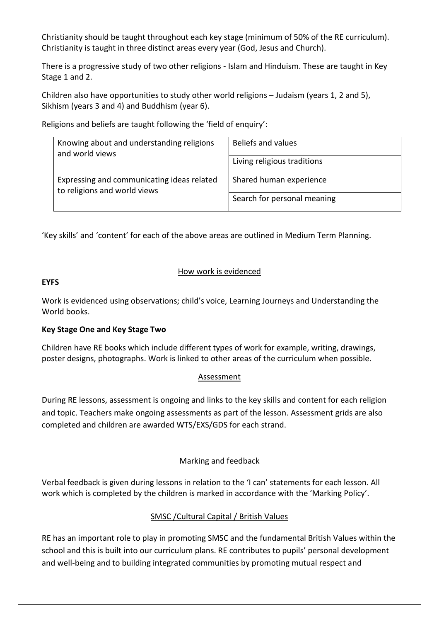Christianity should be taught throughout each key stage (minimum of 50% of the RE curriculum). Christianity is taught in three distinct areas every year (God, Jesus and Church).

There is a progressive study of two other religions - Islam and Hinduism. These are taught in Key Stage 1 and 2.

Children also have opportunities to study other world religions – Judaism (years 1, 2 and 5), Sikhism (years 3 and 4) and Buddhism (year 6).

Religions and beliefs are taught following the 'field of enquiry':

| Knowing about and understanding religions<br>and world views               | Beliefs and values          |
|----------------------------------------------------------------------------|-----------------------------|
|                                                                            | Living religious traditions |
| Expressing and communicating ideas related<br>to religions and world views | Shared human experience     |
|                                                                            | Search for personal meaning |

'Key skills' and 'content' for each of the above areas are outlined in Medium Term Planning.

## How work is evidenced

#### **EYFS**

Work is evidenced using observations; child's voice, Learning Journeys and Understanding the World books.

## **Key Stage One and Key Stage Two**

Children have RE books which include different types of work for example, writing, drawings, poster designs, photographs. Work is linked to other areas of the curriculum when possible.

## Assessment

During RE lessons, assessment is ongoing and links to the key skills and content for each religion and topic. Teachers make ongoing assessments as part of the lesson. Assessment grids are also completed and children are awarded WTS/EXS/GDS for each strand.

## Marking and feedback

Verbal feedback is given during lessons in relation to the 'I can' statements for each lesson. All work which is completed by the children is marked in accordance with the 'Marking Policy'.

## SMSC /Cultural Capital / British Values

RE has an important role to play in promoting SMSC and the fundamental British Values within the school and this is built into our curriculum plans. RE contributes to pupils' personal development and well-being and to building integrated communities by promoting mutual respect and